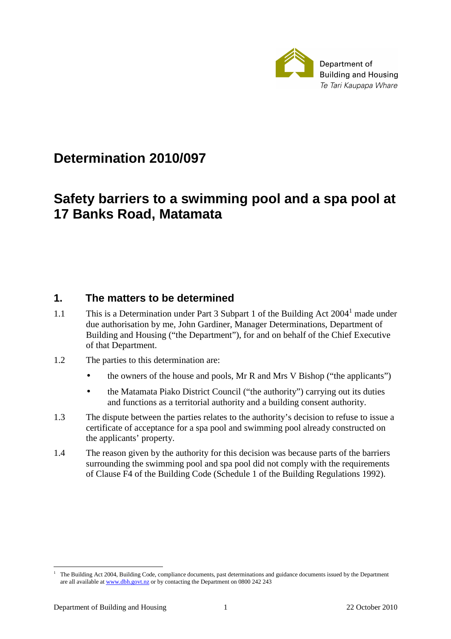

# **Determination 2010/097**

# **Safety barriers to a swimming pool and a spa pool at 17 Banks Road, Matamata**

# **1. The matters to be determined**

- 1.1 This is a Determination under Part 3 Subpart 1 of the Building Act  $2004<sup>1</sup>$  made under due authorisation by me, John Gardiner, Manager Determinations, Department of Building and Housing ("the Department"), for and on behalf of the Chief Executive of that Department.
- 1.2 The parties to this determination are:
	- the owners of the house and pools, Mr R and Mrs V Bishop ("the applicants")
	- the Matamata Piako District Council ("the authority") carrying out its duties and functions as a territorial authority and a building consent authority.
- 1.3 The dispute between the parties relates to the authority's decision to refuse to issue a certificate of acceptance for a spa pool and swimming pool already constructed on the applicants' property.
- 1.4 The reason given by the authority for this decision was because parts of the barriers surrounding the swimming pool and spa pool did not comply with the requirements of Clause F4 of the Building Code (Schedule 1 of the Building Regulations 1992).

 $\overline{a}$ 

<sup>1</sup> The Building Act 2004, Building Code, compliance documents, past determinations and guidance documents issued by the Department are all available at www.dbh.govt.nz or by contacting the Department on 0800 242 243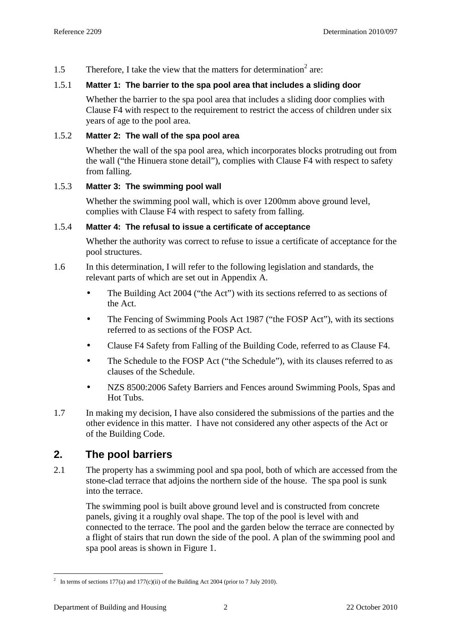1.5 Therefore, I take the view that the matters for determination<sup>2</sup> are:

#### 1.5.1 **Matter 1: The barrier to the spa pool area that includes a sliding door**

Whether the barrier to the spa pool area that includes a sliding door complies with Clause F4 with respect to the requirement to restrict the access of children under six years of age to the pool area.

### 1.5.2 **Matter 2: The wall of the spa pool area**

Whether the wall of the spa pool area, which incorporates blocks protruding out from the wall ("the Hinuera stone detail"), complies with Clause F4 with respect to safety from falling.

#### 1.5.3 **Matter 3: The swimming pool wall**

Whether the swimming pool wall, which is over 1200mm above ground level, complies with Clause F4 with respect to safety from falling.

#### 1.5.4 **Matter 4: The refusal to issue a certificate of acceptance**

Whether the authority was correct to refuse to issue a certificate of acceptance for the pool structures.

- 1.6 In this determination, I will refer to the following legislation and standards, the relevant parts of which are set out in Appendix A.
	- The Building Act 2004 ("the Act") with its sections referred to as sections of the Act.
	- The Fencing of Swimming Pools Act 1987 ("the FOSP Act"), with its sections referred to as sections of the FOSP Act.
	- Clause F4 Safety from Falling of the Building Code, referred to as Clause F4.
	- The Schedule to the FOSP Act ("the Schedule"), with its clauses referred to as clauses of the Schedule.
	- NZS 8500:2006 Safety Barriers and Fences around Swimming Pools, Spas and Hot Tubs.
- 1.7 In making my decision, I have also considered the submissions of the parties and the other evidence in this matter. I have not considered any other aspects of the Act or of the Building Code.

# **2. The pool barriers**

2.1 The property has a swimming pool and spa pool, both of which are accessed from the stone-clad terrace that adjoins the northern side of the house. The spa pool is sunk into the terrace.

The swimming pool is built above ground level and is constructed from concrete panels, giving it a roughly oval shape. The top of the pool is level with and connected to the terrace. The pool and the garden below the terrace are connected by a flight of stairs that run down the side of the pool. A plan of the swimming pool and spa pool areas is shown in Figure 1.

<sup>&</sup>lt;sup>2</sup> In terms of sections 177(a) and 177(c)(ii) of the Building Act 2004 (prior to 7 July 2010).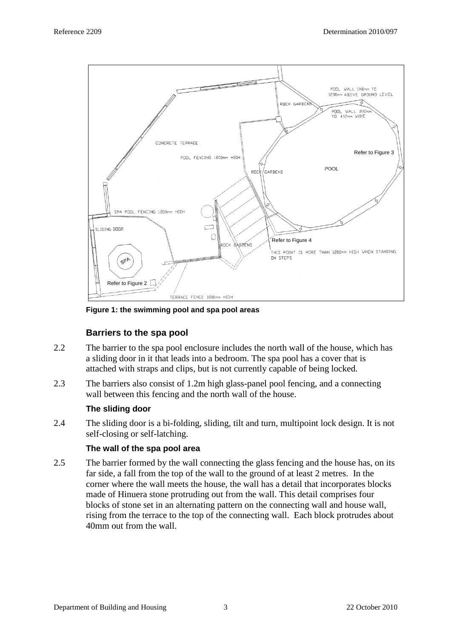

**Figure 1: the swimming pool and spa pool areas** 

## **Barriers to the spa pool**

- 2.2 The barrier to the spa pool enclosure includes the north wall of the house, which has a sliding door in it that leads into a bedroom. The spa pool has a cover that is attached with straps and clips, but is not currently capable of being locked.
- 2.3 The barriers also consist of 1.2m high glass-panel pool fencing, and a connecting wall between this fencing and the north wall of the house.

#### **The sliding door**

2.4 The sliding door is a bi-folding, sliding, tilt and turn, multipoint lock design. It is not self-closing or self-latching.

#### **The wall of the spa pool area**

2.5 The barrier formed by the wall connecting the glass fencing and the house has, on its far side, a fall from the top of the wall to the ground of at least 2 metres. In the corner where the wall meets the house, the wall has a detail that incorporates blocks made of Hinuera stone protruding out from the wall. This detail comprises four blocks of stone set in an alternating pattern on the connecting wall and house wall, rising from the terrace to the top of the connecting wall. Each block protrudes about 40mm out from the wall.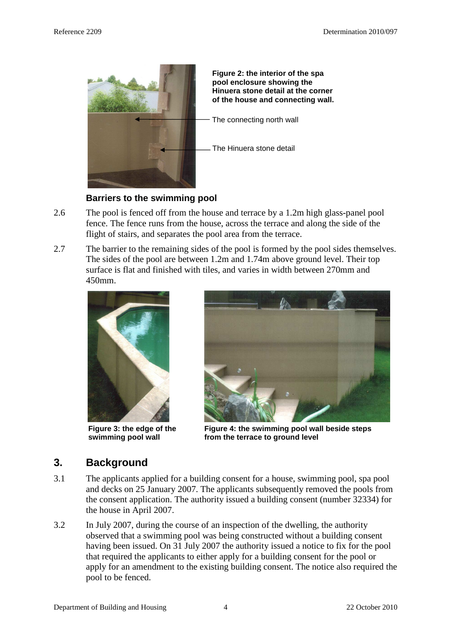

**Figure 2: the interior of the spa pool enclosure showing the Hinuera stone detail at the corner of the house and connecting wall.** 

The connecting north wall

The Hinuera stone detail

### **Barriers to the swimming pool**

- 2.6 The pool is fenced off from the house and terrace by a 1.2m high glass-panel pool fence. The fence runs from the house, across the terrace and along the side of the flight of stairs, and separates the pool area from the terrace.
- 2.7 The barrier to the remaining sides of the pool is formed by the pool sides themselves. The sides of the pool are between 1.2m and 1.74m above ground level. Their top surface is flat and finished with tiles, and varies in width between 270mm and 450mm.



**Figure 3: the edge of the swimming pool wall** 



**Figure 4: the swimming pool wall beside steps from the terrace to ground level** 

# **3. Background**

- 3.1 The applicants applied for a building consent for a house, swimming pool, spa pool and decks on 25 January 2007. The applicants subsequently removed the pools from the consent application. The authority issued a building consent (number 32334) for the house in April 2007.
- 3.2 In July 2007, during the course of an inspection of the dwelling, the authority observed that a swimming pool was being constructed without a building consent having been issued. On 31 July 2007 the authority issued a notice to fix for the pool that required the applicants to either apply for a building consent for the pool or apply for an amendment to the existing building consent. The notice also required the pool to be fenced.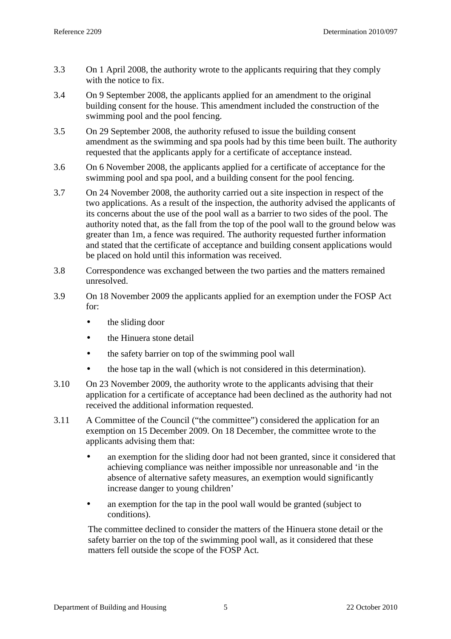- 3.3 On 1 April 2008, the authority wrote to the applicants requiring that they comply with the notice to fix.
- 3.4 On 9 September 2008, the applicants applied for an amendment to the original building consent for the house. This amendment included the construction of the swimming pool and the pool fencing.
- 3.5 On 29 September 2008, the authority refused to issue the building consent amendment as the swimming and spa pools had by this time been built. The authority requested that the applicants apply for a certificate of acceptance instead.
- 3.6 On 6 November 2008, the applicants applied for a certificate of acceptance for the swimming pool and spa pool, and a building consent for the pool fencing.
- 3.7 On 24 November 2008, the authority carried out a site inspection in respect of the two applications. As a result of the inspection, the authority advised the applicants of its concerns about the use of the pool wall as a barrier to two sides of the pool. The authority noted that, as the fall from the top of the pool wall to the ground below was greater than 1m, a fence was required. The authority requested further information and stated that the certificate of acceptance and building consent applications would be placed on hold until this information was received.
- 3.8 Correspondence was exchanged between the two parties and the matters remained unresolved.
- 3.9 On 18 November 2009 the applicants applied for an exemption under the FOSP Act for:
	- the sliding door
	- the Hinuera stone detail
	- the safety barrier on top of the swimming pool wall
	- the hose tap in the wall (which is not considered in this determination).
- 3.10 On 23 November 2009, the authority wrote to the applicants advising that their application for a certificate of acceptance had been declined as the authority had not received the additional information requested.
- 3.11 A Committee of the Council ("the committee") considered the application for an exemption on 15 December 2009. On 18 December, the committee wrote to the applicants advising them that:
	- an exemption for the sliding door had not been granted, since it considered that achieving compliance was neither impossible nor unreasonable and 'in the absence of alternative safety measures, an exemption would significantly increase danger to young children'
	- an exemption for the tap in the pool wall would be granted (subject to conditions).

The committee declined to consider the matters of the Hinuera stone detail or the safety barrier on the top of the swimming pool wall, as it considered that these matters fell outside the scope of the FOSP Act.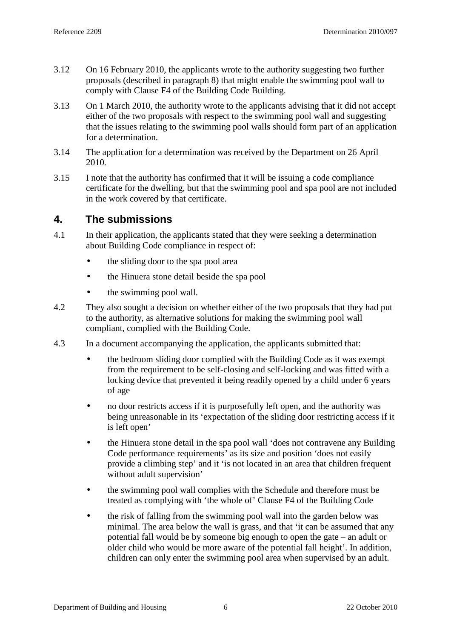- 3.12 On 16 February 2010, the applicants wrote to the authority suggesting two further proposals (described in paragraph 8) that might enable the swimming pool wall to comply with Clause F4 of the Building Code Building.
- 3.13 On 1 March 2010, the authority wrote to the applicants advising that it did not accept either of the two proposals with respect to the swimming pool wall and suggesting that the issues relating to the swimming pool walls should form part of an application for a determination.
- 3.14 The application for a determination was received by the Department on 26 April 2010.
- 3.15 I note that the authority has confirmed that it will be issuing a code compliance certificate for the dwelling, but that the swimming pool and spa pool are not included in the work covered by that certificate.

# **4. The submissions**

- 4.1 In their application, the applicants stated that they were seeking a determination about Building Code compliance in respect of:
	- the sliding door to the spa pool area
	- the Hinuera stone detail beside the spa pool
	- the swimming pool wall.
- 4.2 They also sought a decision on whether either of the two proposals that they had put to the authority, as alternative solutions for making the swimming pool wall compliant, complied with the Building Code.
- 4.3 In a document accompanying the application, the applicants submitted that:
	- the bedroom sliding door complied with the Building Code as it was exempt from the requirement to be self-closing and self-locking and was fitted with a locking device that prevented it being readily opened by a child under 6 years of age
	- no door restricts access if it is purposefully left open, and the authority was being unreasonable in its 'expectation of the sliding door restricting access if it is left open'
	- the Hinuera stone detail in the spa pool wall 'does not contravene any Building Code performance requirements' as its size and position 'does not easily provide a climbing step' and it 'is not located in an area that children frequent without adult supervision'
	- the swimming pool wall complies with the Schedule and therefore must be treated as complying with 'the whole of' Clause F4 of the Building Code
	- the risk of falling from the swimming pool wall into the garden below was minimal. The area below the wall is grass, and that 'it can be assumed that any potential fall would be by someone big enough to open the gate – an adult or older child who would be more aware of the potential fall height'. In addition, children can only enter the swimming pool area when supervised by an adult.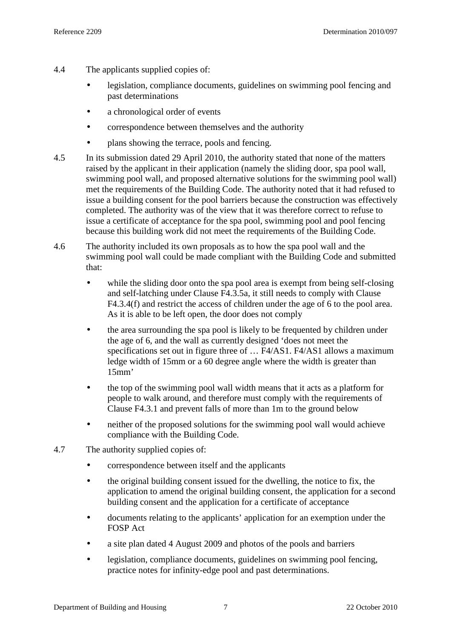- 4.4 The applicants supplied copies of:
	- legislation, compliance documents, guidelines on swimming pool fencing and past determinations
	- a chronological order of events
	- correspondence between themselves and the authority
	- plans showing the terrace, pools and fencing.
- 4.5 In its submission dated 29 April 2010, the authority stated that none of the matters raised by the applicant in their application (namely the sliding door, spa pool wall, swimming pool wall, and proposed alternative solutions for the swimming pool wall) met the requirements of the Building Code. The authority noted that it had refused to issue a building consent for the pool barriers because the construction was effectively completed. The authority was of the view that it was therefore correct to refuse to issue a certificate of acceptance for the spa pool, swimming pool and pool fencing because this building work did not meet the requirements of the Building Code.
- 4.6 The authority included its own proposals as to how the spa pool wall and the swimming pool wall could be made compliant with the Building Code and submitted that:
	- while the sliding door onto the spa pool area is exempt from being self-closing and self-latching under Clause F4.3.5a, it still needs to comply with Clause F4.3.4(f) and restrict the access of children under the age of 6 to the pool area. As it is able to be left open, the door does not comply
	- the area surrounding the spa pool is likely to be frequented by children under the age of 6, and the wall as currently designed 'does not meet the specifications set out in figure three of … F4/AS1. F4/AS1 allows a maximum ledge width of 15mm or a 60 degree angle where the width is greater than 15mm'
	- the top of the swimming pool wall width means that it acts as a platform for people to walk around, and therefore must comply with the requirements of Clause F4.3.1 and prevent falls of more than 1m to the ground below
	- neither of the proposed solutions for the swimming pool wall would achieve compliance with the Building Code.
- 4.7 The authority supplied copies of:
	- correspondence between itself and the applicants
	- the original building consent issued for the dwelling, the notice to fix, the application to amend the original building consent, the application for a second building consent and the application for a certificate of acceptance
	- documents relating to the applicants' application for an exemption under the FOSP Act
	- a site plan dated 4 August 2009 and photos of the pools and barriers
	- legislation, compliance documents, guidelines on swimming pool fencing, practice notes for infinity-edge pool and past determinations.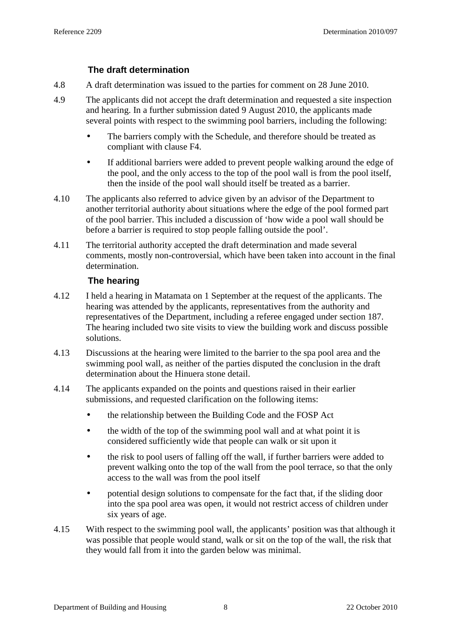### **The draft determination**

- 4.8 A draft determination was issued to the parties for comment on 28 June 2010.
- 4.9 The applicants did not accept the draft determination and requested a site inspection and hearing. In a further submission dated 9 August 2010, the applicants made several points with respect to the swimming pool barriers, including the following:
	- The barriers comply with the Schedule, and therefore should be treated as compliant with clause F4.
	- If additional barriers were added to prevent people walking around the edge of the pool, and the only access to the top of the pool wall is from the pool itself, then the inside of the pool wall should itself be treated as a barrier.
- 4.10 The applicants also referred to advice given by an advisor of the Department to another territorial authority about situations where the edge of the pool formed part of the pool barrier. This included a discussion of 'how wide a pool wall should be before a barrier is required to stop people falling outside the pool'.
- 4.11 The territorial authority accepted the draft determination and made several comments, mostly non-controversial, which have been taken into account in the final determination.

#### **The hearing**

- 4.12 I held a hearing in Matamata on 1 September at the request of the applicants. The hearing was attended by the applicants, representatives from the authority and representatives of the Department, including a referee engaged under section 187. The hearing included two site visits to view the building work and discuss possible solutions.
- 4.13 Discussions at the hearing were limited to the barrier to the spa pool area and the swimming pool wall, as neither of the parties disputed the conclusion in the draft determination about the Hinuera stone detail.
- 4.14 The applicants expanded on the points and questions raised in their earlier submissions, and requested clarification on the following items:
	- the relationship between the Building Code and the FOSP Act
	- the width of the top of the swimming pool wall and at what point it is considered sufficiently wide that people can walk or sit upon it
	- the risk to pool users of falling off the wall, if further barriers were added to prevent walking onto the top of the wall from the pool terrace, so that the only access to the wall was from the pool itself
	- potential design solutions to compensate for the fact that, if the sliding door into the spa pool area was open, it would not restrict access of children under six years of age.
- 4.15 With respect to the swimming pool wall, the applicants' position was that although it was possible that people would stand, walk or sit on the top of the wall, the risk that they would fall from it into the garden below was minimal.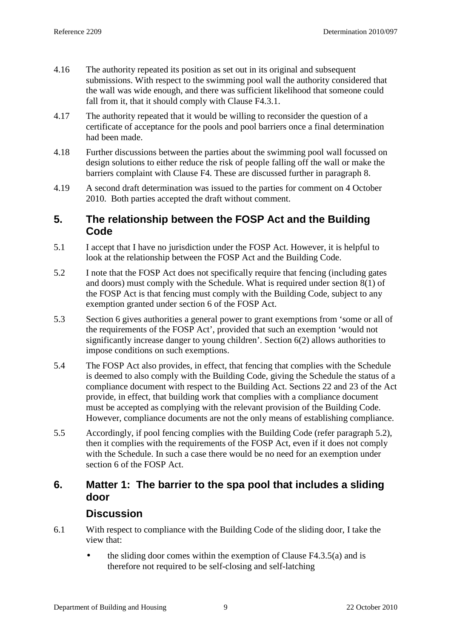- 4.16 The authority repeated its position as set out in its original and subsequent submissions. With respect to the swimming pool wall the authority considered that the wall was wide enough, and there was sufficient likelihood that someone could fall from it, that it should comply with Clause F4.3.1.
- 4.17 The authority repeated that it would be willing to reconsider the question of a certificate of acceptance for the pools and pool barriers once a final determination had been made.
- 4.18 Further discussions between the parties about the swimming pool wall focussed on design solutions to either reduce the risk of people falling off the wall or make the barriers complaint with Clause F4. These are discussed further in paragraph 8.
- 4.19 A second draft determination was issued to the parties for comment on 4 October 2010. Both parties accepted the draft without comment.

# **5. The relationship between the FOSP Act and the Building Code**

- 5.1 I accept that I have no jurisdiction under the FOSP Act. However, it is helpful to look at the relationship between the FOSP Act and the Building Code.
- 5.2 I note that the FOSP Act does not specifically require that fencing (including gates and doors) must comply with the Schedule. What is required under section 8(1) of the FOSP Act is that fencing must comply with the Building Code, subject to any exemption granted under section 6 of the FOSP Act.
- 5.3 Section 6 gives authorities a general power to grant exemptions from 'some or all of the requirements of the FOSP Act', provided that such an exemption 'would not significantly increase danger to young children'. Section 6(2) allows authorities to impose conditions on such exemptions.
- 5.4 The FOSP Act also provides, in effect, that fencing that complies with the Schedule is deemed to also comply with the Building Code, giving the Schedule the status of a compliance document with respect to the Building Act. Sections 22 and 23 of the Act provide, in effect, that building work that complies with a compliance document must be accepted as complying with the relevant provision of the Building Code. However, compliance documents are not the only means of establishing compliance.
- 5.5 Accordingly, if pool fencing complies with the Building Code (refer paragraph 5.2), then it complies with the requirements of the FOSP Act, even if it does not comply with the Schedule. In such a case there would be no need for an exemption under section 6 of the FOSP Act.

# **6. Matter 1: The barrier to the spa pool that includes a sliding door**

# **Discussion**

- 6.1 With respect to compliance with the Building Code of the sliding door, I take the view that:
	- the sliding door comes within the exemption of Clause  $F4.3.5(a)$  and is therefore not required to be self-closing and self-latching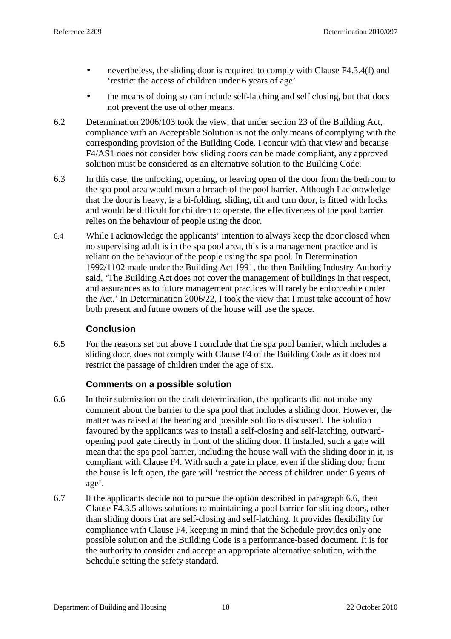- nevertheless, the sliding door is required to comply with Clause F4.3.4(f) and 'restrict the access of children under 6 years of age'
- the means of doing so can include self-latching and self closing, but that does not prevent the use of other means.
- 6.2 Determination 2006/103 took the view, that under section 23 of the Building Act, compliance with an Acceptable Solution is not the only means of complying with the corresponding provision of the Building Code. I concur with that view and because F4/AS1 does not consider how sliding doors can be made compliant, any approved solution must be considered as an alternative solution to the Building Code.
- 6.3 In this case, the unlocking, opening, or leaving open of the door from the bedroom to the spa pool area would mean a breach of the pool barrier. Although I acknowledge that the door is heavy, is a bi-folding, sliding, tilt and turn door, is fitted with locks and would be difficult for children to operate, the effectiveness of the pool barrier relies on the behaviour of people using the door.
- 6.4 While I acknowledge the applicants' intention to always keep the door closed when no supervising adult is in the spa pool area, this is a management practice and is reliant on the behaviour of the people using the spa pool. In Determination 1992/1102 made under the Building Act 1991, the then Building Industry Authority said, 'The Building Act does not cover the management of buildings in that respect, and assurances as to future management practices will rarely be enforceable under the Act.' In Determination 2006/22, I took the view that I must take account of how both present and future owners of the house will use the space.

#### **Conclusion**

6.5 For the reasons set out above I conclude that the spa pool barrier, which includes a sliding door, does not comply with Clause F4 of the Building Code as it does not restrict the passage of children under the age of six.

#### **Comments on a possible solution**

- 6.6 In their submission on the draft determination, the applicants did not make any comment about the barrier to the spa pool that includes a sliding door. However, the matter was raised at the hearing and possible solutions discussed. The solution favoured by the applicants was to install a self-closing and self-latching, outwardopening pool gate directly in front of the sliding door. If installed, such a gate will mean that the spa pool barrier, including the house wall with the sliding door in it, is compliant with Clause F4. With such a gate in place, even if the sliding door from the house is left open, the gate will 'restrict the access of children under 6 years of age'.
- 6.7 If the applicants decide not to pursue the option described in paragraph 6.6, then Clause F4.3.5 allows solutions to maintaining a pool barrier for sliding doors, other than sliding doors that are self-closing and self-latching. It provides flexibility for compliance with Clause F4, keeping in mind that the Schedule provides only one possible solution and the Building Code is a performance-based document. It is for the authority to consider and accept an appropriate alternative solution, with the Schedule setting the safety standard.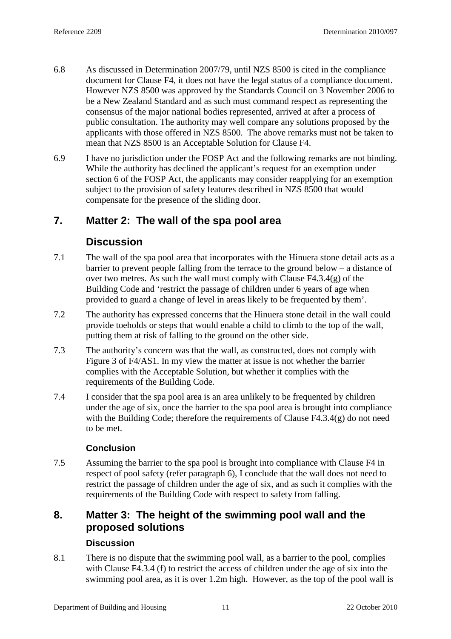- 6.8 As discussed in Determination 2007/79, until NZS 8500 is cited in the compliance document for Clause F4, it does not have the legal status of a compliance document. However NZS 8500 was approved by the Standards Council on 3 November 2006 to be a New Zealand Standard and as such must command respect as representing the consensus of the major national bodies represented, arrived at after a process of public consultation. The authority may well compare any solutions proposed by the applicants with those offered in NZS 8500. The above remarks must not be taken to mean that NZS 8500 is an Acceptable Solution for Clause F4.
- 6.9 I have no jurisdiction under the FOSP Act and the following remarks are not binding. While the authority has declined the applicant's request for an exemption under section 6 of the FOSP Act, the applicants may consider reapplying for an exemption subject to the provision of safety features described in NZS 8500 that would compensate for the presence of the sliding door.

# **7. Matter 2: The wall of the spa pool area**

# **Discussion**

- 7.1 The wall of the spa pool area that incorporates with the Hinuera stone detail acts as a barrier to prevent people falling from the terrace to the ground below – a distance of over two metres. As such the wall must comply with Clause  $F4.3.4(g)$  of the Building Code and 'restrict the passage of children under 6 years of age when provided to guard a change of level in areas likely to be frequented by them'.
- 7.2 The authority has expressed concerns that the Hinuera stone detail in the wall could provide toeholds or steps that would enable a child to climb to the top of the wall, putting them at risk of falling to the ground on the other side.
- 7.3 The authority's concern was that the wall, as constructed, does not comply with Figure 3 of F4/AS1. In my view the matter at issue is not whether the barrier complies with the Acceptable Solution, but whether it complies with the requirements of the Building Code.
- 7.4 I consider that the spa pool area is an area unlikely to be frequented by children under the age of six, once the barrier to the spa pool area is brought into compliance with the Building Code; therefore the requirements of Clause F4.3.4(g) do not need to be met.

## **Conclusion**

7.5 Assuming the barrier to the spa pool is brought into compliance with Clause F4 in respect of pool safety (refer paragraph 6), I conclude that the wall does not need to restrict the passage of children under the age of six, and as such it complies with the requirements of the Building Code with respect to safety from falling.

# **8. Matter 3: The height of the swimming pool wall and the proposed solutions Discussion**

8.1 There is no dispute that the swimming pool wall, as a barrier to the pool, complies with Clause F4.3.4 (f) to restrict the access of children under the age of six into the swimming pool area, as it is over 1.2m high. However, as the top of the pool wall is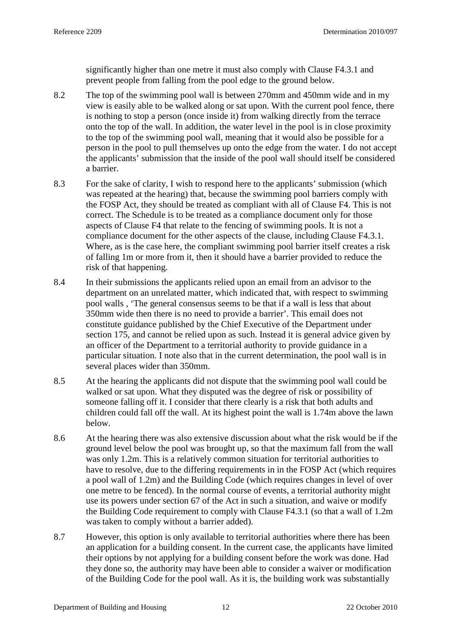significantly higher than one metre it must also comply with Clause F4.3.1 and prevent people from falling from the pool edge to the ground below.

- 8.2 The top of the swimming pool wall is between 270mm and 450mm wide and in my view is easily able to be walked along or sat upon. With the current pool fence, there is nothing to stop a person (once inside it) from walking directly from the terrace onto the top of the wall. In addition, the water level in the pool is in close proximity to the top of the swimming pool wall, meaning that it would also be possible for a person in the pool to pull themselves up onto the edge from the water. I do not accept the applicants' submission that the inside of the pool wall should itself be considered a barrier.
- 8.3 For the sake of clarity, I wish to respond here to the applicants' submission (which was repeated at the hearing) that, because the swimming pool barriers comply with the FOSP Act, they should be treated as compliant with all of Clause F4. This is not correct. The Schedule is to be treated as a compliance document only for those aspects of Clause F4 that relate to the fencing of swimming pools. It is not a compliance document for the other aspects of the clause, including Clause F4.3.1. Where, as is the case here, the compliant swimming pool barrier itself creates a risk of falling 1m or more from it, then it should have a barrier provided to reduce the risk of that happening.
- 8.4 In their submissions the applicants relied upon an email from an advisor to the department on an unrelated matter, which indicated that, with respect to swimming pool walls , 'The general consensus seems to be that if a wall is less that about 350mm wide then there is no need to provide a barrier'. This email does not constitute guidance published by the Chief Executive of the Department under section 175, and cannot be relied upon as such. Instead it is general advice given by an officer of the Department to a territorial authority to provide guidance in a particular situation. I note also that in the current determination, the pool wall is in several places wider than 350mm.
- 8.5 At the hearing the applicants did not dispute that the swimming pool wall could be walked or sat upon. What they disputed was the degree of risk or possibility of someone falling off it. I consider that there clearly is a risk that both adults and children could fall off the wall. At its highest point the wall is 1.74m above the lawn below.
- 8.6 At the hearing there was also extensive discussion about what the risk would be if the ground level below the pool was brought up, so that the maximum fall from the wall was only 1.2m. This is a relatively common situation for territorial authorities to have to resolve, due to the differing requirements in in the FOSP Act (which requires a pool wall of 1.2m) and the Building Code (which requires changes in level of over one metre to be fenced). In the normal course of events, a territorial authority might use its powers under section 67 of the Act in such a situation, and waive or modify the Building Code requirement to comply with Clause F4.3.1 (so that a wall of 1.2m was taken to comply without a barrier added).
- 8.7 However, this option is only available to territorial authorities where there has been an application for a building consent. In the current case, the applicants have limited their options by not applying for a building consent before the work was done. Had they done so, the authority may have been able to consider a waiver or modification of the Building Code for the pool wall. As it is, the building work was substantially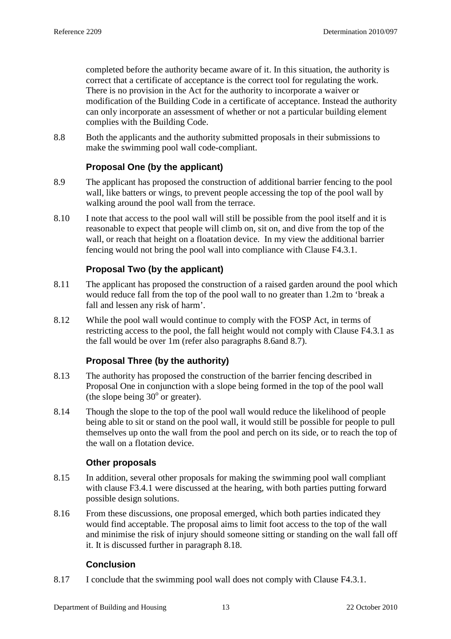completed before the authority became aware of it. In this situation, the authority is correct that a certificate of acceptance is the correct tool for regulating the work. There is no provision in the Act for the authority to incorporate a waiver or modification of the Building Code in a certificate of acceptance. Instead the authority can only incorporate an assessment of whether or not a particular building element complies with the Building Code.

8.8 Both the applicants and the authority submitted proposals in their submissions to make the swimming pool wall code-compliant.

## **Proposal One (by the applicant)**

- 8.9 The applicant has proposed the construction of additional barrier fencing to the pool wall, like batters or wings, to prevent people accessing the top of the pool wall by walking around the pool wall from the terrace.
- 8.10 I note that access to the pool wall will still be possible from the pool itself and it is reasonable to expect that people will climb on, sit on, and dive from the top of the wall, or reach that height on a floatation device. In my view the additional barrier fencing would not bring the pool wall into compliance with Clause F4.3.1.

## **Proposal Two (by the applicant)**

- 8.11 The applicant has proposed the construction of a raised garden around the pool which would reduce fall from the top of the pool wall to no greater than 1.2m to 'break a fall and lessen any risk of harm'.
- 8.12 While the pool wall would continue to comply with the FOSP Act, in terms of restricting access to the pool, the fall height would not comply with Clause F4.3.1 as the fall would be over 1m (refer also paragraphs 8.6and 8.7).

## **Proposal Three (by the authority)**

- 8.13 The authority has proposed the construction of the barrier fencing described in Proposal One in conjunction with a slope being formed in the top of the pool wall (the slope being  $30^{\circ}$  or greater).
- 8.14 Though the slope to the top of the pool wall would reduce the likelihood of people being able to sit or stand on the pool wall, it would still be possible for people to pull themselves up onto the wall from the pool and perch on its side, or to reach the top of the wall on a flotation device.

#### **Other proposals**

- 8.15 In addition, several other proposals for making the swimming pool wall compliant with clause F3.4.1 were discussed at the hearing, with both parties putting forward possible design solutions.
- 8.16 From these discussions, one proposal emerged, which both parties indicated they would find acceptable. The proposal aims to limit foot access to the top of the wall and minimise the risk of injury should someone sitting or standing on the wall fall off it. It is discussed further in paragraph 8.18.

## **Conclusion**

8.17 I conclude that the swimming pool wall does not comply with Clause F4.3.1.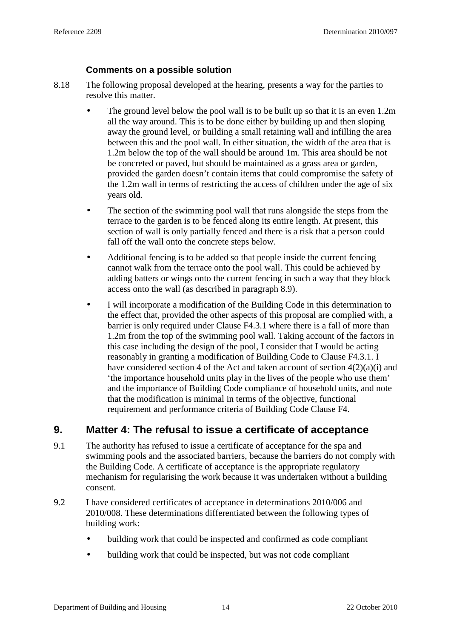### **Comments on a possible solution**

- 8.18 The following proposal developed at the hearing, presents a way for the parties to resolve this matter.
	- The ground level below the pool wall is to be built up so that it is an even 1.2m all the way around. This is to be done either by building up and then sloping away the ground level, or building a small retaining wall and infilling the area between this and the pool wall. In either situation, the width of the area that is 1.2m below the top of the wall should be around 1m. This area should be not be concreted or paved, but should be maintained as a grass area or garden, provided the garden doesn't contain items that could compromise the safety of the 1.2m wall in terms of restricting the access of children under the age of six years old.
	- The section of the swimming pool wall that runs alongside the steps from the terrace to the garden is to be fenced along its entire length. At present, this section of wall is only partially fenced and there is a risk that a person could fall off the wall onto the concrete steps below.
	- Additional fencing is to be added so that people inside the current fencing cannot walk from the terrace onto the pool wall. This could be achieved by adding batters or wings onto the current fencing in such a way that they block access onto the wall (as described in paragraph 8.9).
	- I will incorporate a modification of the Building Code in this determination to the effect that, provided the other aspects of this proposal are complied with, a barrier is only required under Clause F4.3.1 where there is a fall of more than 1.2m from the top of the swimming pool wall. Taking account of the factors in this case including the design of the pool, I consider that I would be acting reasonably in granting a modification of Building Code to Clause F4.3.1. I have considered section 4 of the Act and taken account of section 4(2)(a)(i) and 'the importance household units play in the lives of the people who use them' and the importance of Building Code compliance of household units, and note that the modification is minimal in terms of the objective, functional requirement and performance criteria of Building Code Clause F4.

# **9. Matter 4: The refusal to issue a certificate of acceptance**

- 9.1 The authority has refused to issue a certificate of acceptance for the spa and swimming pools and the associated barriers, because the barriers do not comply with the Building Code. A certificate of acceptance is the appropriate regulatory mechanism for regularising the work because it was undertaken without a building consent.
- 9.2 I have considered certificates of acceptance in determinations 2010/006 and 2010/008. These determinations differentiated between the following types of building work:
	- building work that could be inspected and confirmed as code compliant
	- building work that could be inspected, but was not code compliant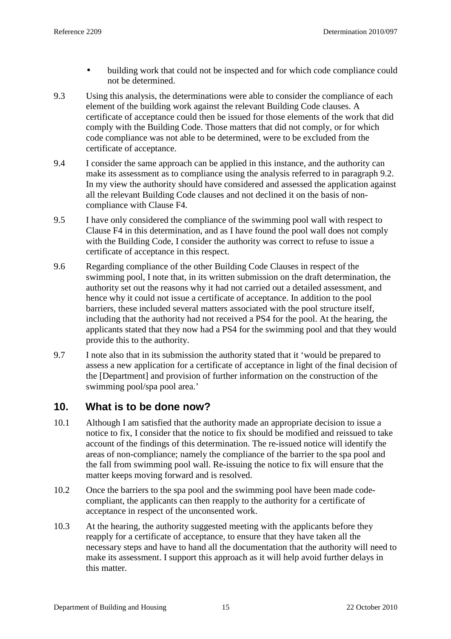- building work that could not be inspected and for which code compliance could not be determined.
- 9.3 Using this analysis, the determinations were able to consider the compliance of each element of the building work against the relevant Building Code clauses. A certificate of acceptance could then be issued for those elements of the work that did comply with the Building Code. Those matters that did not comply, or for which code compliance was not able to be determined, were to be excluded from the certificate of acceptance.
- 9.4 I consider the same approach can be applied in this instance, and the authority can make its assessment as to compliance using the analysis referred to in paragraph 9.2. In my view the authority should have considered and assessed the application against all the relevant Building Code clauses and not declined it on the basis of noncompliance with Clause F4.
- 9.5 I have only considered the compliance of the swimming pool wall with respect to Clause F4 in this determination, and as I have found the pool wall does not comply with the Building Code, I consider the authority was correct to refuse to issue a certificate of acceptance in this respect.
- 9.6 Regarding compliance of the other Building Code Clauses in respect of the swimming pool, I note that, in its written submission on the draft determination, the authority set out the reasons why it had not carried out a detailed assessment, and hence why it could not issue a certificate of acceptance. In addition to the pool barriers, these included several matters associated with the pool structure itself, including that the authority had not received a PS4 for the pool. At the hearing, the applicants stated that they now had a PS4 for the swimming pool and that they would provide this to the authority.
- 9.7 I note also that in its submission the authority stated that it 'would be prepared to assess a new application for a certificate of acceptance in light of the final decision of the [Department] and provision of further information on the construction of the swimming pool/spa pool area.'

# **10. What is to be done now?**

- 10.1 Although I am satisfied that the authority made an appropriate decision to issue a notice to fix, I consider that the notice to fix should be modified and reissued to take account of the findings of this determination. The re-issued notice will identify the areas of non-compliance; namely the compliance of the barrier to the spa pool and the fall from swimming pool wall. Re-issuing the notice to fix will ensure that the matter keeps moving forward and is resolved.
- 10.2 Once the barriers to the spa pool and the swimming pool have been made codecompliant, the applicants can then reapply to the authority for a certificate of acceptance in respect of the unconsented work.
- 10.3 At the hearing, the authority suggested meeting with the applicants before they reapply for a certificate of acceptance, to ensure that they have taken all the necessary steps and have to hand all the documentation that the authority will need to make its assessment. I support this approach as it will help avoid further delays in this matter.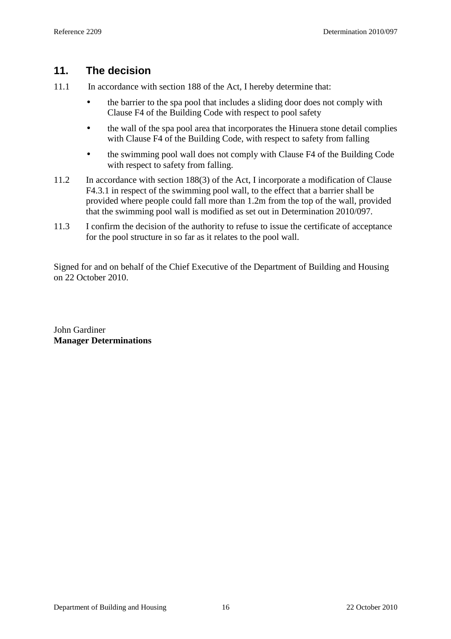# **11. The decision**

- 11.1 In accordance with section 188 of the Act, I hereby determine that:
	- the barrier to the spa pool that includes a sliding door does not comply with Clause F4 of the Building Code with respect to pool safety
	- the wall of the spa pool area that incorporates the Hinuera stone detail complies with Clause F4 of the Building Code, with respect to safety from falling
	- the swimming pool wall does not comply with Clause F4 of the Building Code with respect to safety from falling.
- 11.2 In accordance with section 188(3) of the Act, I incorporate a modification of Clause F4.3.1 in respect of the swimming pool wall, to the effect that a barrier shall be provided where people could fall more than 1.2m from the top of the wall, provided that the swimming pool wall is modified as set out in Determination 2010/097.
- 11.3 I confirm the decision of the authority to refuse to issue the certificate of acceptance for the pool structure in so far as it relates to the pool wall.

Signed for and on behalf of the Chief Executive of the Department of Building and Housing on 22 October 2010.

John Gardiner **Manager Determinations**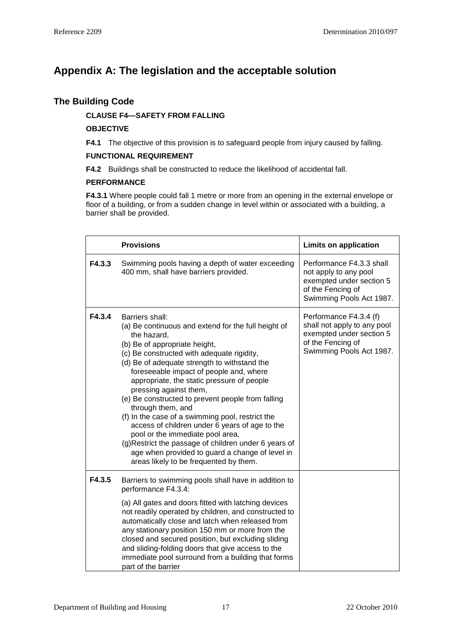# **Appendix A: The legislation and the acceptable solution**

#### **The Building Code**

#### **CLAUSE F4—SAFETY FROM FALLING**

#### **OBJECTIVE**

**F4.1** The objective of this provision is to safeguard people from injury caused by falling.

#### **FUNCTIONAL REQUIREMENT**

**F4.2** Buildings shall be constructed to reduce the likelihood of accidental fall.

#### **PERFORMANCE**

**F4.3.1** Where people could fall 1 metre or more from an opening in the external envelope or floor of a building, or from a sudden change in level within or associated with a building, a barrier shall be provided.

|        | <b>Provisions</b>                                                                                                                                                                                                                                                                                                                                                                                                                                                                                                                                                                                                                                                                                                 | <b>Limits on application</b>                                                                                                       |
|--------|-------------------------------------------------------------------------------------------------------------------------------------------------------------------------------------------------------------------------------------------------------------------------------------------------------------------------------------------------------------------------------------------------------------------------------------------------------------------------------------------------------------------------------------------------------------------------------------------------------------------------------------------------------------------------------------------------------------------|------------------------------------------------------------------------------------------------------------------------------------|
| F4.3.3 | Swimming pools having a depth of water exceeding<br>400 mm, shall have barriers provided.                                                                                                                                                                                                                                                                                                                                                                                                                                                                                                                                                                                                                         | Performance F4.3.3 shall<br>not apply to any pool<br>exempted under section 5<br>of the Fencing of<br>Swimming Pools Act 1987.     |
| F4.3.4 | Barriers shall:<br>(a) Be continuous and extend for the full height of<br>the hazard,<br>(b) Be of appropriate height,<br>(c) Be constructed with adequate rigidity,<br>(d) Be of adequate strength to withstand the<br>foreseeable impact of people and, where<br>appropriate, the static pressure of people<br>pressing against them,<br>(e) Be constructed to prevent people from falling<br>through them, and<br>(f) In the case of a swimming pool, restrict the<br>access of children under 6 years of age to the<br>pool or the immediate pool area,<br>(g) Restrict the passage of children under 6 years of<br>age when provided to guard a change of level in<br>areas likely to be frequented by them. | Performance F4.3.4 (f)<br>shall not apply to any pool<br>exempted under section 5<br>of the Fencing of<br>Swimming Pools Act 1987. |
| F4.3.5 | Barriers to swimming pools shall have in addition to<br>performance F4.3.4:<br>(a) All gates and doors fitted with latching devices<br>not readily operated by children, and constructed to<br>automatically close and latch when released from<br>any stationary position 150 mm or more from the<br>closed and secured position, but excluding sliding<br>and sliding-folding doors that give access to the<br>immediate pool surround from a building that forms<br>part of the barrier                                                                                                                                                                                                                        |                                                                                                                                    |